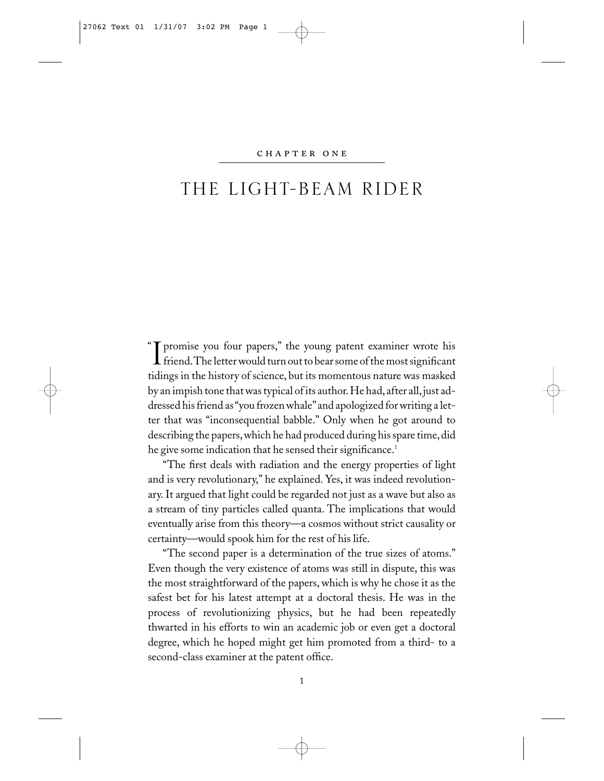#### chapter one

# *THE LIGHT-BEAM RIDER*

*I*promise you four papers," the young patent examiner wrote his  $\blacksquare$  friend. The letter would turn out to bear some of the most significant tidings in the history of science, but its momentous nature was masked by an impish tone that was typical of its author. He had, after all, just addressed his friend as "you frozen whale"and apologized for writing a letter that was "inconsequential babble." Only when he got around to describing the papers, which he had produced during his spare time, did he give some indication that he sensed their significance.<sup>1</sup>  $\mathfrak{a}$ 

"The first deals with radiation and the energy properties of light and is very revolutionary," he explained. Yes, it was indeed revolutionary. It argued that light could be regarded not just as a wave but also as a stream of tiny particles called quanta. The implications that would eventually arise from this theory—a cosmos without strict causality or certainty—would spook him for the rest of his life.

"The second paper is a determination of the true sizes of atoms." Even though the very existence of atoms was still in dispute, this was the most straightforward of the papers, which is why he chose it as the safest bet for his latest attempt at a doctoral thesis. He was in the process of revolutionizing physics, but he had been repeatedly thwarted in his efforts to win an academic job or even get a doctoral degree, which he hoped might get him promoted from a third- to a second-class examiner at the patent office.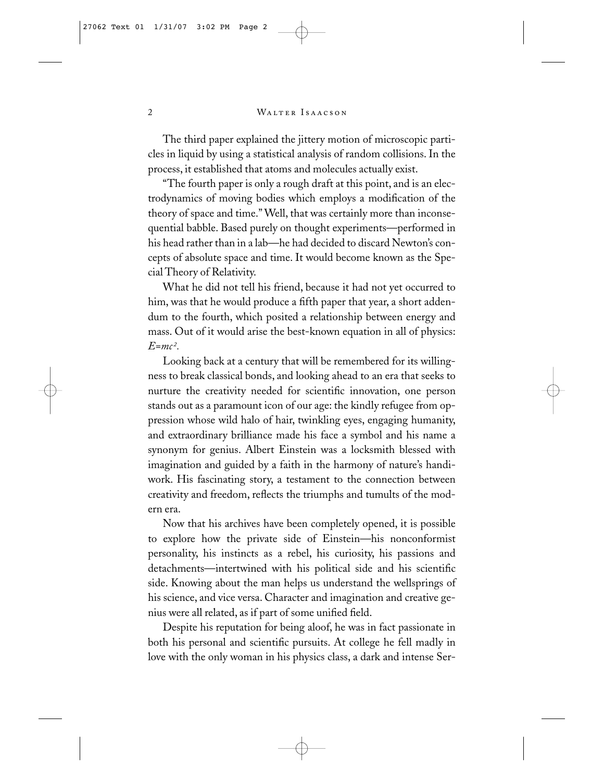#### 2 WALTER ISAACSON

The third paper explained the jittery motion of microscopic particles in liquid by using a statistical analysis of random collisions. In the process, it established that atoms and molecules actually exist.

"The fourth paper is only a rough draft at this point, and is an electrodynamics of moving bodies which employs a modification of the theory of space and time." Well, that was certainly more than inconsequential babble. Based purely on thought experiments—performed in his head rather than in a lab—he had decided to discard Newton's concepts of absolute space and time. It would become known as the Special Theory of Relativity.

What he did not tell his friend, because it had not yet occurred to him, was that he would produce a fifth paper that year, a short addendum to the fourth, which posited a relationship between energy and mass. Out of it would arise the best-known equation in all of physics:  $E=mc^2$ .

Looking back at a century that will be remembered for its willingness to break classical bonds, and looking ahead to an era that seeks to nurture the creativity needed for scientific innovation, one person stands out as a paramount icon of our age: the kindly refugee from oppression whose wild halo of hair, twinkling eyes, engaging humanity, and extraordinary brilliance made his face a symbol and his name a synonym for genius. Albert Einstein was a locksmith blessed with imagination and guided by a faith in the harmony of nature's handiwork. His fascinating story, a testament to the connection between creativity and freedom, reflects the triumphs and tumults of the modern era.

Now that his archives have been completely opened, it is possible to explore how the private side of Einstein—his nonconformist personality, his instincts as a rebel, his curiosity, his passions and detachments—intertwined with his political side and his scientific side. Knowing about the man helps us understand the wellsprings of his science, and vice versa. Character and imagination and creative genius were all related, as if part of some unified field.

Despite his reputation for being aloof, he was in fact passionate in both his personal and scientific pursuits. At college he fell madly in love with the only woman in his physics class, a dark and intense Ser-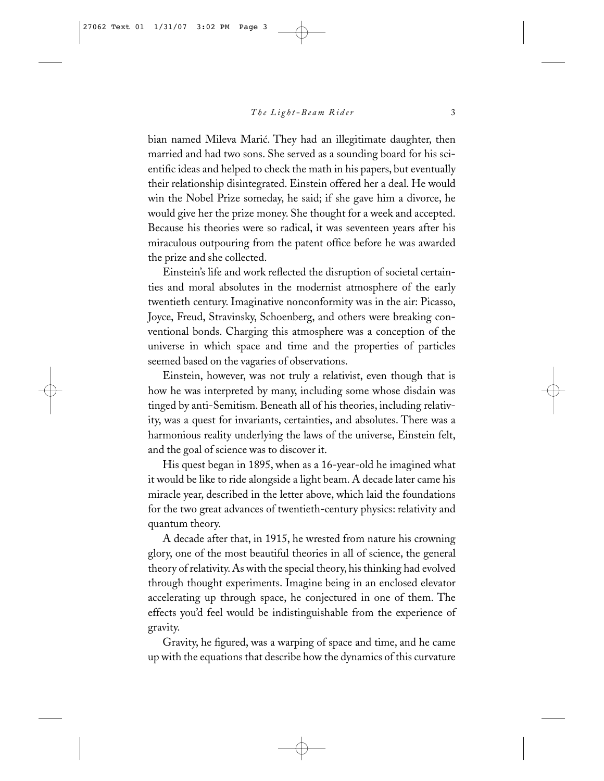bian named Mileva Marić. They had an illegitimate daughter, then married and had two sons. She served as a sounding board for his scientific ideas and helped to check the math in his papers, but eventually their relationship disintegrated. Einstein offered her a deal. He would win the Nobel Prize someday, he said; if she gave him a divorce, he would give her the prize money. She thought for a week and accepted. Because his theories were so radical, it was seventeen years after his miraculous outpouring from the patent office before he was awarded the prize and she collected.

Einstein's life and work reflected the disruption of societal certainties and moral absolutes in the modernist atmosphere of the early twentieth century. Imaginative nonconformity was in the air: Picasso, Joyce, Freud, Stravinsky, Schoenberg, and others were breaking conventional bonds. Charging this atmosphere was a conception of the universe in which space and time and the properties of particles seemed based on the vagaries of observations.

Einstein, however, was not truly a relativist, even though that is how he was interpreted by many, including some whose disdain was tinged by anti-Semitism. Beneath all of his theories, including relativity, was a quest for invariants, certainties, and absolutes. There was a harmonious reality underlying the laws of the universe, Einstein felt, and the goal of science was to discover it.

His quest began in 1895, when as a 16-year-old he imagined what it would be like to ride alongside a light beam. A decade later came his miracle year, described in the letter above, which laid the foundations for the two great advances of twentieth-century physics: relativity and quantum theory.

A decade after that, in 1915, he wrested from nature his crowning glory, one of the most beautiful theories in all of science, the general theory of relativity. As with the special theory, his thinking had evolved through thought experiments. Imagine being in an enclosed elevator accelerating up through space, he conjectured in one of them. The effects you'd feel would be indistinguishable from the experience of gravity.

Gravity, he figured, was a warping of space and time, and he came up with the equations that describe how the dynamics of this curvature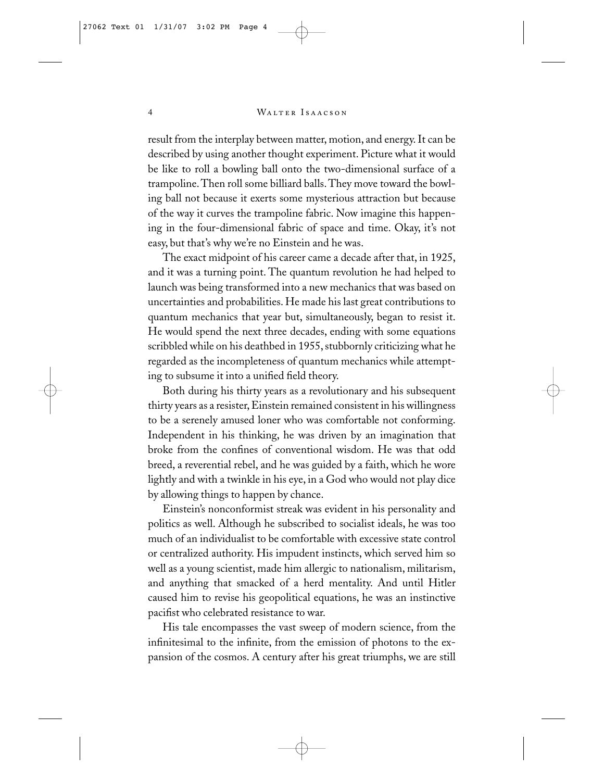#### 4 Walter Isaacson

result from the interplay between matter, motion, and energy. It can be described by using another thought experiment. Picture what it would be like to roll a bowling ball onto the two-dimensional surface of a trampoline.Then roll some billiard balls.They move toward the bowling ball not because it exerts some mysterious attraction but because of the way it curves the trampoline fabric. Now imagine this happening in the four-dimensional fabric of space and time. Okay, it's not easy, but that's why we're no Einstein and he was.

The exact midpoint of his career came a decade after that, in 1925, and it was a turning point. The quantum revolution he had helped to launch was being transformed into a new mechanics that was based on uncertainties and probabilities. He made his last great contributions to quantum mechanics that year but, simultaneously, began to resist it. He would spend the next three decades, ending with some equations scribbled while on his deathbed in 1955, stubbornly criticizing what he regarded as the incompleteness of quantum mechanics while attempting to subsume it into a unified field theory.

Both during his thirty years as a revolutionary and his subsequent thirty years as a resister, Einstein remained consistent in his willingness to be a serenely amused loner who was comfortable not conforming. Independent in his thinking, he was driven by an imagination that broke from the confines of conventional wisdom. He was that odd breed, a reverential rebel, and he was guided by a faith, which he wore lightly and with a twinkle in his eye, in a God who would not play dice by allowing things to happen by chance.

Einstein's nonconformist streak was evident in his personality and politics as well. Although he subscribed to socialist ideals, he was too much of an individualist to be comfortable with excessive state control or centralized authority. His impudent instincts, which served him so well as a young scientist, made him allergic to nationalism, militarism, and anything that smacked of a herd mentality. And until Hitler caused him to revise his geopolitical equations, he was an instinctive pacifist who celebrated resistance to war.

His tale encompasses the vast sweep of modern science, from the infinitesimal to the infinite, from the emission of photons to the expansion of the cosmos. A century after his great triumphs, we are still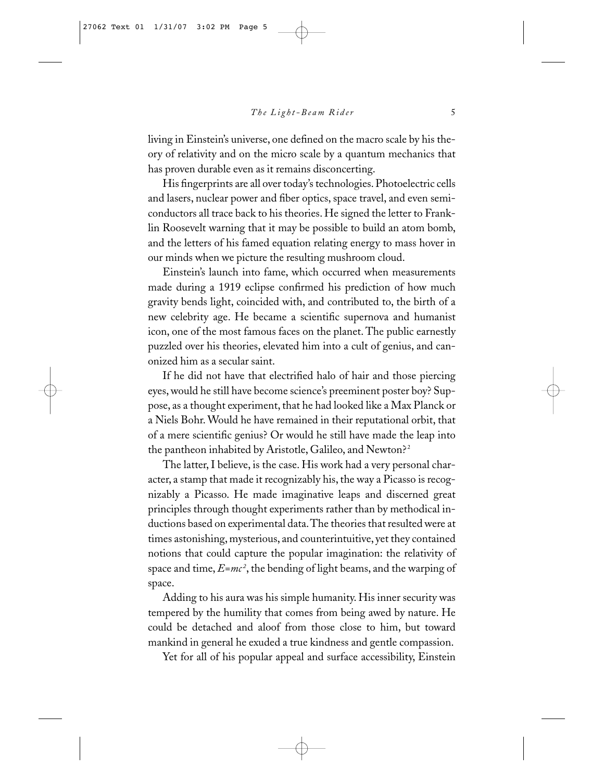## *The Light-Beam Rider* 5

living in Einstein's universe, one defined on the macro scale by his theory of relativity and on the micro scale by a quantum mechanics that has proven durable even as it remains disconcerting.

His fingerprints are all over today's technologies. Photoelectric cells and lasers, nuclear power and fiber optics, space travel, and even semiconductors all trace back to his theories. He signed the letter to Franklin Roosevelt warning that it may be possible to build an atom bomb, and the letters of his famed equation relating energy to mass hover in our minds when we picture the resulting mushroom cloud.

Einstein's launch into fame, which occurred when measurements made during a 1919 eclipse confirmed his prediction of how much gravity bends light, coincided with, and contributed to, the birth of a new celebrity age. He became a scientific supernova and humanist icon, one of the most famous faces on the planet. The public earnestly puzzled over his theories, elevated him into a cult of genius, and canonized him as a secular saint.

If he did not have that electrified halo of hair and those piercing eyes, would he still have become science's preeminent poster boy? Suppose, as a thought experiment, that he had looked like a Max Planck or a Niels Bohr. Would he have remained in their reputational orbit, that of a mere scientific genius? Or would he still have made the leap into the pantheon inhabited by Aristotle, Galileo, and Newton? <sup>2</sup>

The latter, I believe, is the case. His work had a very personal character, a stamp that made it recognizably his, the way a Picasso is recognizably a Picasso. He made imaginative leaps and discerned great principles through thought experiments rather than by methodical inductions based on experimental data.The theories that resulted were at times astonishing, mysterious, and counterintuitive, yet they contained notions that could capture the popular imagination: the relativity of space and time,  $E$ =mc<sup>2</sup>, the bending of light beams, and the warping of space.

Adding to his aura was his simple humanity. His inner security was tempered by the humility that comes from being awed by nature. He could be detached and aloof from those close to him, but toward mankind in general he exuded a true kindness and gentle compassion.

Yet for all of his popular appeal and surface accessibility, Einstein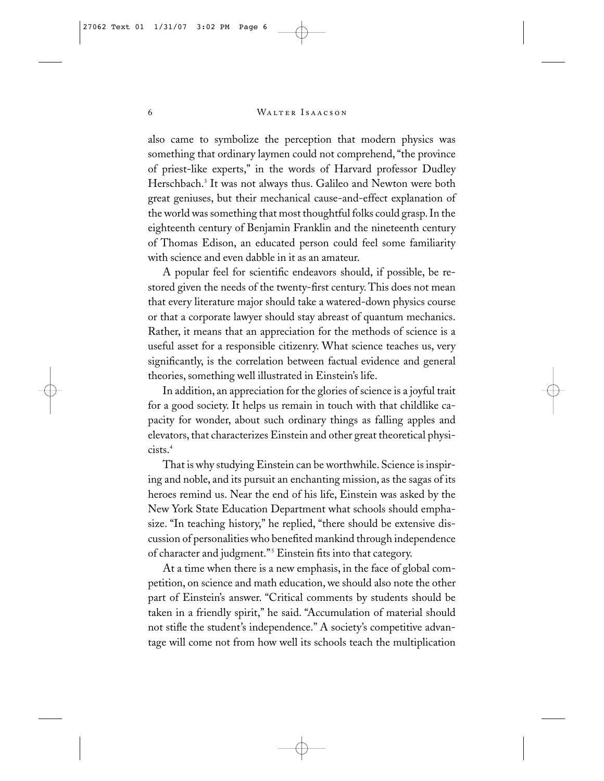## 6 Walter Isaacson

also came to symbolize the perception that modern physics was something that ordinary laymen could not comprehend, "the province of priest-like experts," in the words of Harvard professor Dudley Herschbach.<sup>3</sup> It was not always thus. Galileo and Newton were both great geniuses, but their mechanical cause-and-effect explanation of the world was something that most thoughtful folks could grasp. In the eighteenth century of Benjamin Franklin and the nineteenth century of Thomas Edison, an educated person could feel some familiarity with science and even dabble in it as an amateur.

A popular feel for scientific endeavors should, if possible, be restored given the needs of the twenty-first century. This does not mean that every literature major should take a watered-down physics course or that a corporate lawyer should stay abreast of quantum mechanics. Rather, it means that an appreciation for the methods of science is a useful asset for a responsible citizenry. What science teaches us, very significantly, is the correlation between factual evidence and general theories, something well illustrated in Einstein's life.

In addition, an appreciation for the glories of science is a joyful trait for a good society. It helps us remain in touch with that childlike capacity for wonder, about such ordinary things as falling apples and elevators, that characterizes Einstein and other great theoretical physicists.4

That is why studying Einstein can be worthwhile. Science is inspiring and noble, and its pursuit an enchanting mission, as the sagas of its heroes remind us. Near the end of his life, Einstein was asked by the New York State Education Department what schools should emphasize. "In teaching history," he replied, "there should be extensive discussion of personalities who benefited mankind through independence of character and judgment."<sup>5</sup> Einstein fits into that category.

At a time when there is a new emphasis, in the face of global competition, on science and math education, we should also note the other part of Einstein's answer. "Critical comments by students should be taken in a friendly spirit," he said. "Accumulation of material should not stifle the student's independence." A society's competitive advantage will come not from how well its schools teach the multiplication